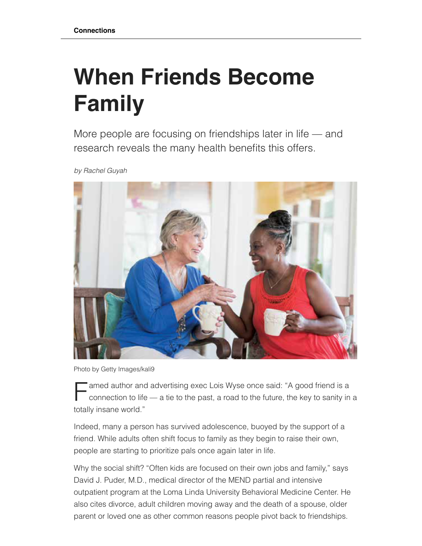## **When Friends Become Family**

More people are focusing on friendships later in life — and research reveals the many health benefits this offers.

*by Rachel Guyah*



Photo by Getty Images/kali9

F amed author and advertising exec Lois Wyse once said: "A good friend is a connection to life – a tie to the past, a road to the future, the key to sanity in connection to life — a tie to the past, a road to the future, the key to sanity in a totally insane world."

Indeed, many a person has survived adolescence, buoyed by the support of a friend. While adults often shift focus to family as they begin to raise their own, people are starting to prioritize pals once again later in life.

Why the social shift? "Often kids are focused on their own jobs and family," says David J. Puder, M.D., medical director of the MEND partial and intensive outpatient program at the Loma Linda University Behavioral Medicine Center. He also cites divorce, adult children moving away and the death of a spouse, older parent or loved one as other common reasons people pivot back to friendships.